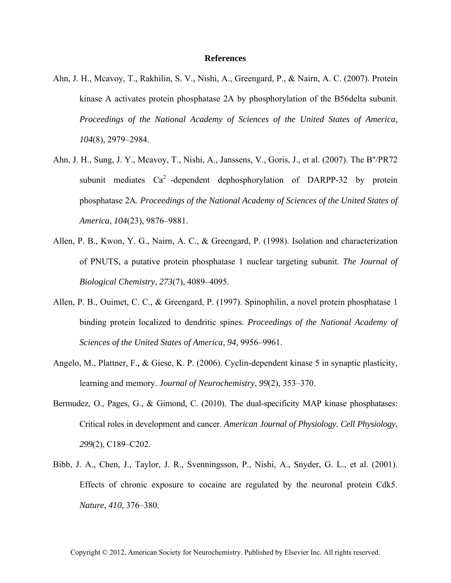## **References**

- Ahn, J. H., Mcavoy, T., Rakhilin, S. V., Nishi, A., Greengard, P., & Nairn, A. C. (2007). Protein kinase A activates protein phosphatase 2A by phosphorylation of the B56delta subunit. *Proceedings of the National Academy of Sciences of the United States of America*, *104*(8), 2979–2984.
- Ahn, J. H., Sung, J. Y., Mcavoy, T., Nishi, A., Janssens, V., Goris, J., et al. (2007). The B''/PR72 subunit mediates  $Ca^2$ -dependent dephosphorylation of DARPP-32 by protein phosphatase 2A. *Proceedings of the National Academy of Sciences of the United States of America*, *104*(23), 9876–9881.
- Allen, P. B., Kwon, Y. G., Nairn, A. C., & Greengard, P. (1998). Isolation and characterization of PNUTS, a putative protein phosphatase 1 nuclear targeting subunit. *The Journal of Biological Chemistry*, *273*(7), 4089–4095.
- Allen, P. B., Ouimet, C. C., & Greengard, P. (1997). Spinophilin, a novel protein phosphatase 1 binding protein localized to dendritic spines. *Proceedings of the National Academy of Sciences of the United States of America*, *94*, 9956–9961.
- Angelo, M., Plattner, F., & Giese, K. P. (2006). Cyclin-dependent kinase 5 in synaptic plasticity, learning and memory. *Journal of Neurochemistry*, *99*(2), 353–370.
- Bermudez, O., Pages, G., & Gimond, C. (2010). The dual-specificity MAP kinase phosphatases: Critical roles in development and cancer. *American Journal of Physiology. Cell Physiology*, *299*(2), C189–C202.
- Bibb, J. A., Chen, J., Taylor, J. R., Svenningsson, P., Nishi, A., Snyder, G. L., et al. (2001). Effects of chronic exposure to cocaine are regulated by the neuronal protein Cdk5. *Nature*, *410*, 376–380.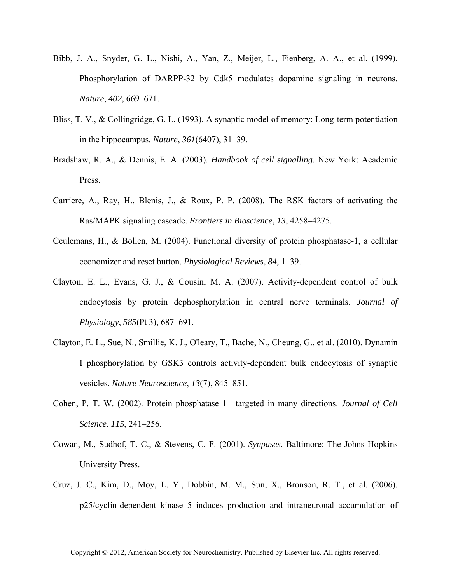- Bibb, J. A., Snyder, G. L., Nishi, A., Yan, Z., Meijer, L., Fienberg, A. A., et al. (1999). Phosphorylation of DARPP-32 by Cdk5 modulates dopamine signaling in neurons. *Nature*, *402*, 669–671.
- Bliss, T. V., & Collingridge, G. L. (1993). A synaptic model of memory: Long-term potentiation in the hippocampus. *Nature*, *361*(6407), 31–39.
- Bradshaw, R. A., & Dennis, E. A. (2003). *Handbook of cell signalling*. New York: Academic Press.
- Carriere, A., Ray, H., Blenis, J., & Roux, P. P. (2008). The RSK factors of activating the Ras/MAPK signaling cascade. *Frontiers in Bioscience*, *13*, 4258–4275.
- Ceulemans, H., & Bollen, M. (2004). Functional diversity of protein phosphatase-1, a cellular economizer and reset button. *Physiological Reviews*, *84*, 1–39.
- Clayton, E. L., Evans, G. J., & Cousin, M. A. (2007). Activity-dependent control of bulk endocytosis by protein dephosphorylation in central nerve terminals. *Journal of Physiology*, *585*(Pt 3), 687–691.
- Clayton, E. L., Sue, N., Smillie, K. J., O'leary, T., Bache, N., Cheung, G., et al. (2010). Dynamin I phosphorylation by GSK3 controls activity-dependent bulk endocytosis of synaptic vesicles. *Nature Neuroscience*, *13*(7), 845–851.
- Cohen, P. T. W. (2002). Protein phosphatase 1—targeted in many directions. *Journal of Cell Science*, *115*, 241–256.
- Cowan, M., Sudhof, T. C., & Stevens, C. F. (2001). *Synpases*. Baltimore: The Johns Hopkins University Press.
- Cruz, J. C., Kim, D., Moy, L. Y., Dobbin, M. M., Sun, X., Bronson, R. T., et al. (2006). p25/cyclin-dependent kinase 5 induces production and intraneuronal accumulation of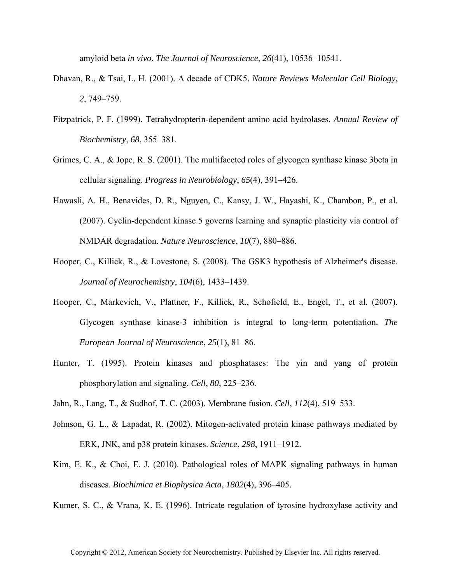amyloid beta *in vivo*. *The Journal of Neuroscience*, *26*(41), 10536–10541.

- Dhavan, R., & Tsai, L. H. (2001). A decade of CDK5. *Nature Reviews Molecular Cell Biology*, *2*, 749–759.
- Fitzpatrick, P. F. (1999). Tetrahydropterin-dependent amino acid hydrolases. *Annual Review of Biochemistry*, *68*, 355–381.
- Grimes, C. A., & Jope, R. S. (2001). The multifaceted roles of glycogen synthase kinase 3beta in cellular signaling. *Progress in Neurobiology*, *65*(4), 391–426.
- Hawasli, A. H., Benavides, D. R., Nguyen, C., Kansy, J. W., Hayashi, K., Chambon, P., et al. (2007). Cyclin-dependent kinase 5 governs learning and synaptic plasticity via control of NMDAR degradation. *Nature Neuroscience*, *10*(7), 880–886.
- Hooper, C., Killick, R., & Lovestone, S. (2008). The GSK3 hypothesis of Alzheimer's disease. *Journal of Neurochemistry*, *104*(6), 1433–1439.
- Hooper, C., Markevich, V., Plattner, F., Killick, R., Schofield, E., Engel, T., et al. (2007). Glycogen synthase kinase-3 inhibition is integral to long-term potentiation. *The European Journal of Neuroscience*, *25*(1), 81–86.
- Hunter, T. (1995). Protein kinases and phosphatases: The yin and yang of protein phosphorylation and signaling. *Cell*, *80*, 225–236.
- Jahn, R., Lang, T., & Sudhof, T. C. (2003). Membrane fusion. *Cell*, *112*(4), 519–533.
- Johnson, G. L., & Lapadat, R. (2002). Mitogen-activated protein kinase pathways mediated by ERK, JNK, and p38 protein kinases. *Science*, *298*, 1911–1912.
- Kim, E. K., & Choi, E. J. (2010). Pathological roles of MAPK signaling pathways in human diseases. *Biochimica et Biophysica Acta*, *1802*(4), 396–405.

Kumer, S. C., & Vrana, K. E. (1996). Intricate regulation of tyrosine hydroxylase activity and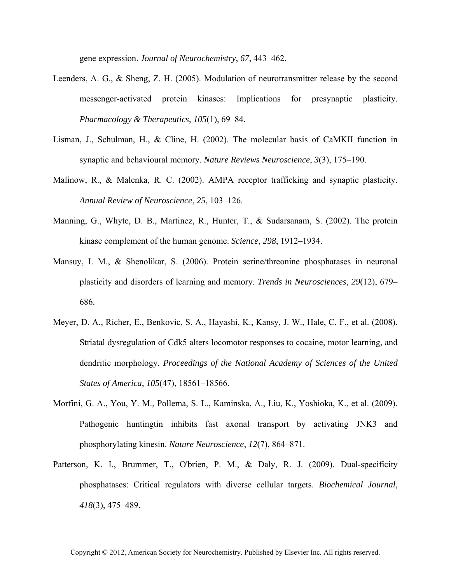gene expression. *Journal of Neurochemistry*, *67*, 443–462.

- Leenders, A. G., & Sheng, Z. H. (2005). Modulation of neurotransmitter release by the second messenger-activated protein kinases: Implications for presynaptic plasticity. *Pharmacology & Therapeutics*, *105*(1), 69–84.
- Lisman, J., Schulman, H., & Cline, H. (2002). The molecular basis of CaMKII function in synaptic and behavioural memory. *Nature Reviews Neuroscience*, *3*(3), 175–190.
- Malinow, R., & Malenka, R. C. (2002). AMPA receptor trafficking and synaptic plasticity. *Annual Review of Neuroscience*, *25*, 103–126.
- Manning, G., Whyte, D. B., Martinez, R., Hunter, T., & Sudarsanam, S. (2002). The protein kinase complement of the human genome. *Science*, *298*, 1912–1934.
- Mansuy, I. M., & Shenolikar, S. (2006). Protein serine/threonine phosphatases in neuronal plasticity and disorders of learning and memory. *Trends in Neurosciences*, *29*(12), 679– 686.
- Meyer, D. A., Richer, E., Benkovic, S. A., Hayashi, K., Kansy, J. W., Hale, C. F., et al. (2008). Striatal dysregulation of Cdk5 alters locomotor responses to cocaine, motor learning, and dendritic morphology. *Proceedings of the National Academy of Sciences of the United States of America*, *105*(47), 18561–18566.
- Morfini, G. A., You, Y. M., Pollema, S. L., Kaminska, A., Liu, K., Yoshioka, K., et al. (2009). Pathogenic huntingtin inhibits fast axonal transport by activating JNK3 and phosphorylating kinesin. *Nature Neuroscience*, *12*(7), 864–871.
- Patterson, K. I., Brummer, T., O'brien, P. M., & Daly, R. J. (2009). Dual-specificity phosphatases: Critical regulators with diverse cellular targets. *Biochemical Journal*, *418*(3), 475–489.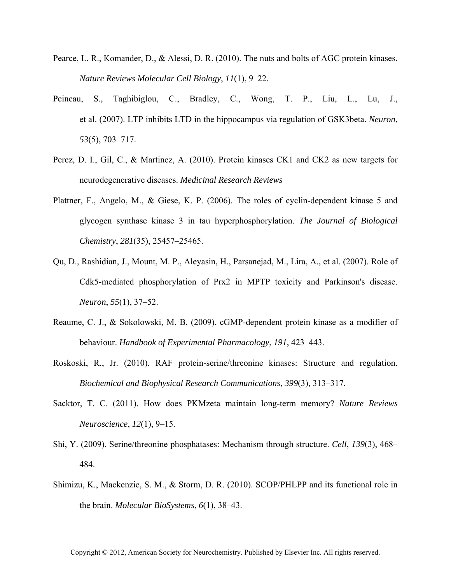- Pearce, L. R., Komander, D., & Alessi, D. R. (2010). The nuts and bolts of AGC protein kinases. *Nature Reviews Molecular Cell Biology*, *11*(1), 9–22.
- Peineau, S., Taghibiglou, C., Bradley, C., Wong, T. P., Liu, L., Lu, J., et al. (2007). LTP inhibits LTD in the hippocampus via regulation of GSK3beta. *Neuron*, *53*(5), 703–717.
- Perez, D. I., Gil, C., & Martinez, A. (2010). Protein kinases CK1 and CK2 as new targets for neurodegenerative diseases. *Medicinal Research Reviews*
- Plattner, F., Angelo, M., & Giese, K. P. (2006). The roles of cyclin-dependent kinase 5 and glycogen synthase kinase 3 in tau hyperphosphorylation. *The Journal of Biological Chemistry*, *281*(35), 25457–25465.
- Qu, D., Rashidian, J., Mount, M. P., Aleyasin, H., Parsanejad, M., Lira, A., et al. (2007). Role of Cdk5-mediated phosphorylation of Prx2 in MPTP toxicity and Parkinson's disease. *Neuron*, *55*(1), 37–52.
- Reaume, C. J., & Sokolowski, M. B. (2009). cGMP-dependent protein kinase as a modifier of behaviour. *Handbook of Experimental Pharmacology*, *191*, 423–443.
- Roskoski, R., Jr. (2010). RAF protein-serine/threonine kinases: Structure and regulation. *Biochemical and Biophysical Research Communications*, *399*(3), 313–317.
- Sacktor, T. C. (2011). How does PKMzeta maintain long-term memory? *Nature Reviews Neuroscience*, *12*(1), 9–15.
- Shi, Y. (2009). Serine/threonine phosphatases: Mechanism through structure. *Cell*, *139*(3), 468– 484.
- Shimizu, K., Mackenzie, S. M., & Storm, D. R. (2010). SCOP/PHLPP and its functional role in the brain. *Molecular BioSystems*, *6*(1), 38–43.